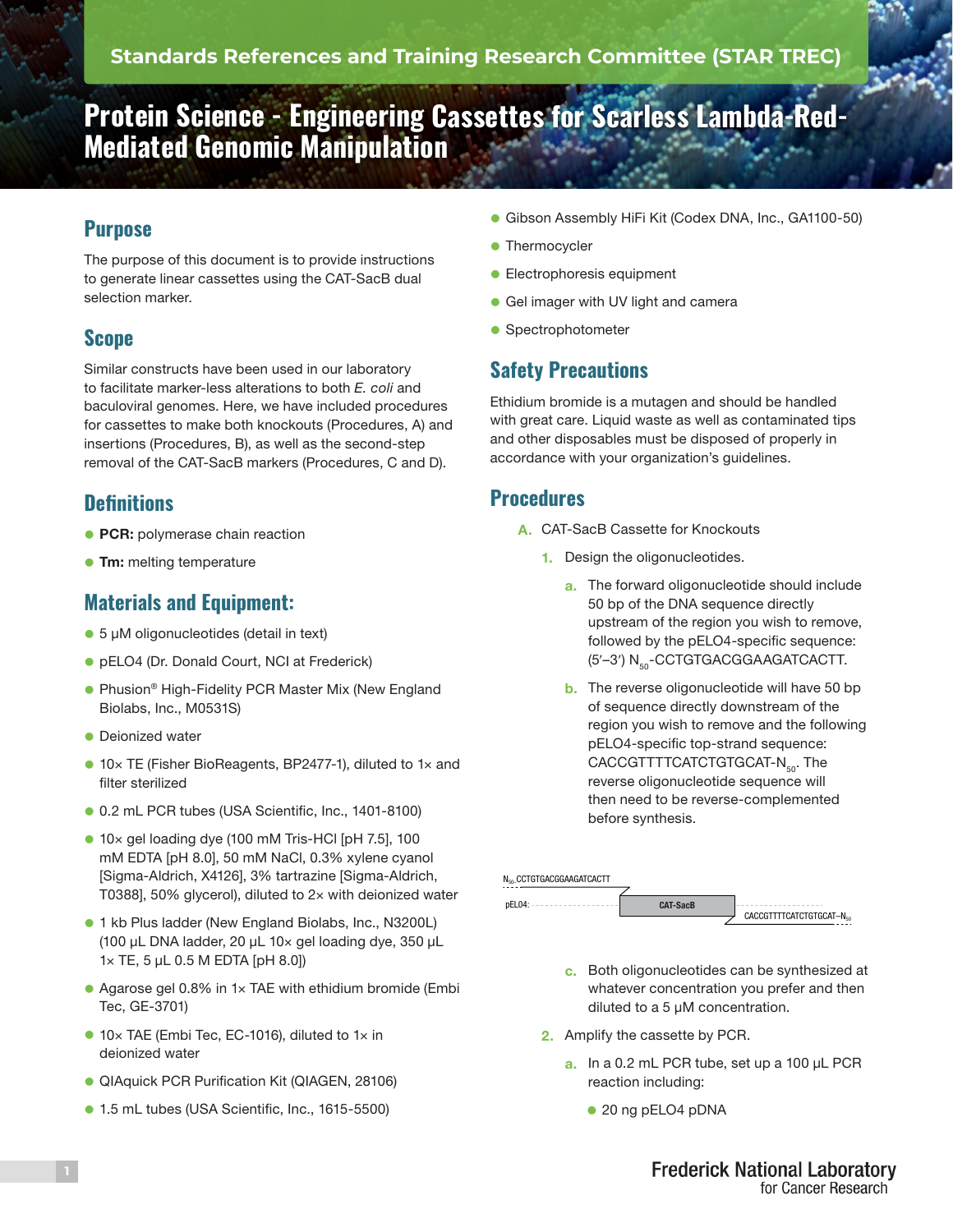# **Protein Science - Engineering Cassettes for Scarless Lambda-Red-Mediated Genomic Manipulation**

## **Purpose**

The purpose of this document is to provide instructions to generate linear cassettes using the CAT-SacB dual selection marker.

#### **Scope**

Similar constructs have been used in our laboratory to facilitate marker-less alterations to both *E. coli* and baculoviral genomes. Here, we have included procedures for cassettes to make both knockouts (Procedures, A) and insertions (Procedures, B), as well as the second-step removal of the CAT-SacB markers (Procedures, C and D).

#### **Definitions**

- **PCR:** polymerase chain reaction
- **Tm:** melting temperature

#### **Materials and Equipment:**

- 5 µM oligonucleotides (detail in text)
- **pELO4 (Dr. Donald Court, NCI at Frederick)**
- **Phusion<sup>®</sup> High-Fidelity PCR Master Mix (New England** Biolabs, Inc., M0531S)
- **Deionized water**
- 10× TE (Fisher BioReagents, BP2477-1), diluted to 1× and filter sterilized
- 0.2 mL PCR tubes (USA Scientific, Inc., 1401-8100)
- 10× gel loading dye (100 mM Tris-HCl [pH 7.5], 100 mM EDTA [pH 8.0], 50 mM NaCl, 0.3% xylene cyanol [Sigma-Aldrich, X4126], 3% tartrazine [Sigma-Aldrich, T0388], 50% glycerol), diluted to 2× with deionized water
- **1** kb Plus ladder (New England Biolabs, Inc., N3200L) (100 µL DNA ladder, 20 µL 10× gel loading dye, 350 µL 1× TE, 5 µL 0.5 M EDTA [pH 8.0])
- Agarose gel 0.8% in 1× TAE with ethidium bromide (Embi Tec, GE-3701)
- 10× TAE (Embi Tec, EC-1016), diluted to 1× in deionized water
- **QIAquick PCR Purification Kit (QIAGEN, 28106)**
- **1.5 mL tubes (USA Scientific, Inc., 1615-5500)**
- **Gibson Assembly HiFi Kit (Codex DNA, Inc., GA1100-50)**
- Thermocycler
- **Electrophoresis equipment**
- **Gel imager with UV light and camera**
- **•** Spectrophotometer

## **Safety Precautions**

Ethidium bromide is a mutagen and should be handled with great care. Liquid waste as well as contaminated tips and other disposables must be disposed of properly in accordance with your organization's guidelines.

#### **Procedures**

- A. CAT-SacB Cassette for Knockouts
	- 1. Design the oligonucleotides.
		- a. The forward oligonucleotide should include 50 bp of the DNA sequence directly upstream of the region you wish to remove, followed by the pELO4-specific sequence: (5'-3') N<sub>50</sub>-CCTGTGACGGAAGATCACTT.
		- **b.** The reverse oligonucleotide will have 50 bp of sequence directly downstream of the region you wish to remove and the following pELO4-specific top-strand sequence: CACCGTTTTCATCTGTGCAT-N<sub>50</sub>. The reverse oligonucleotide sequence will then need to be reverse-complemented before synthesis.

| N <sub>50</sub> CCTGTGACGGAAGATCACTT |                 |                        |
|--------------------------------------|-----------------|------------------------|
|                                      |                 |                        |
|                                      | <b>CAT-SacB</b> |                        |
|                                      |                 | CACCGTTTTCATCTGTGCAT-N |

- c. Both oligonucleotides can be synthesized at whatever concentration you prefer and then diluted to a 5 µM concentration.
- 2. Amplify the cassette by PCR.
	- a. In a 0.2 mL PCR tube, set up a 100 µL PCR reaction including:
		- 20 ng pELO4 pDNA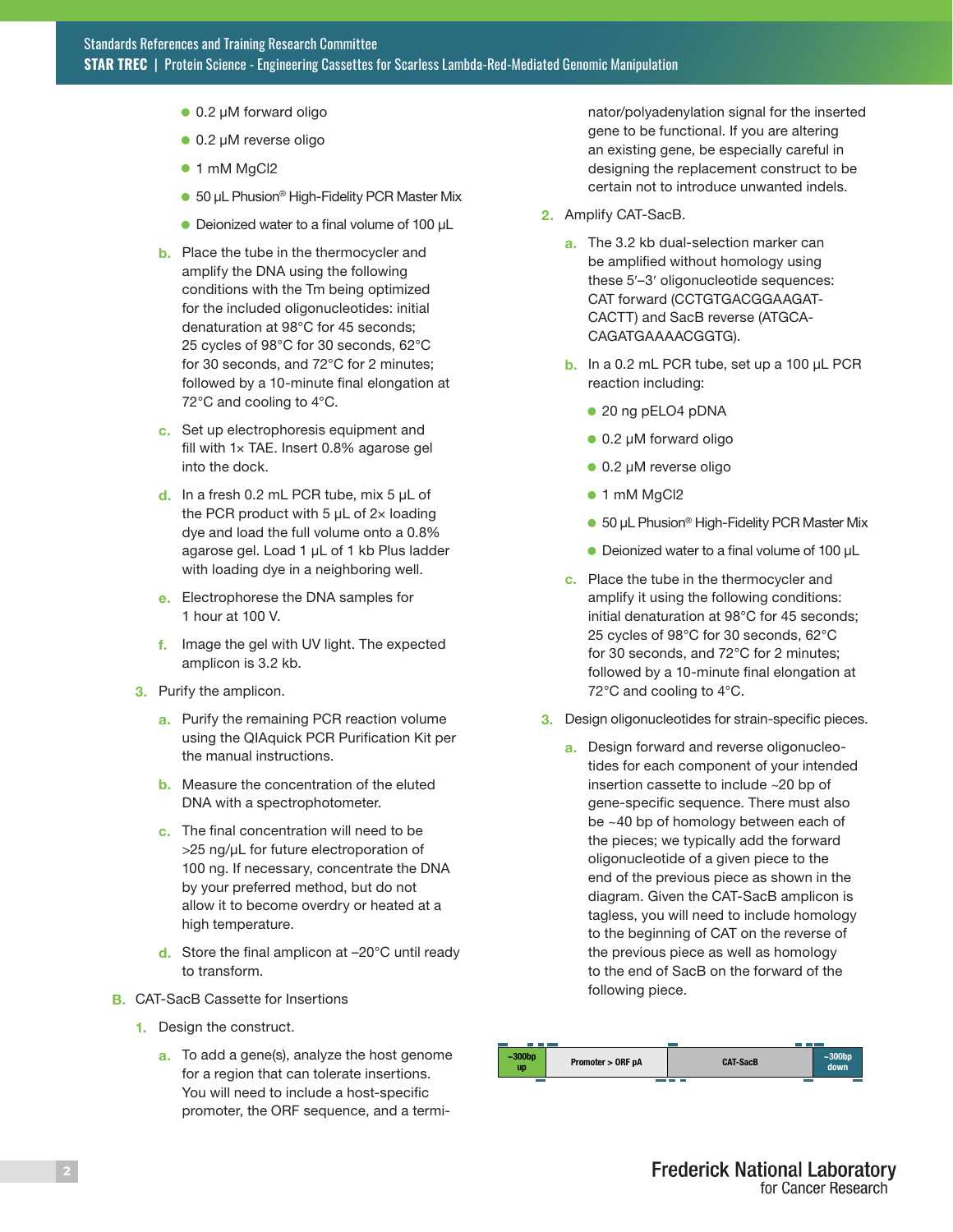- $\bullet$  0.2 µM forward oligo
- $\bullet$  0.2 µM reverse oligo
- 1 mM MgCl2
- 50 µL Phusion<sup>®</sup> High-Fidelity PCR Master Mix
- Deionized water to a final volume of 100 µL
- **b.** Place the tube in the thermocycler and amplify the DNA using the following conditions with the Tm being optimized for the included oligonucleotides: initial denaturation at 98°C for 45 seconds; 25 cycles of 98°C for 30 seconds, 62°C for 30 seconds, and 72°C for 2 minutes; followed by a 10-minute final elongation at 72°C and cooling to 4°C.
- c. Set up electrophoresis equipment and fill with 1× TAE. Insert 0.8% agarose gel into the dock.
- d. In a fresh 0.2 mL PCR tube, mix  $5 \mu L$  of the PCR product with 5  $\mu$ L of 2× loading dye and load the full volume onto a 0.8% agarose gel. Load 1 µL of 1 kb Plus ladder with loading dye in a neighboring well.
- e. Electrophorese the DNA samples for 1 hour at 100 V.
- f. Image the gel with UV light. The expected amplicon is 3.2 kb.
- 3. Purify the amplicon.
	- a. Purify the remaining PCR reaction volume using the QIAquick PCR Purification Kit per the manual instructions.
	- **b.** Measure the concentration of the eluted DNA with a spectrophotometer.
	- c. The final concentration will need to be >25 ng/µL for future electroporation of 100 ng. If necessary, concentrate the DNA by your preferred method, but do not allow it to become overdry or heated at a high temperature.
	- d. Store the final amplicon at -20°C until ready to transform.
- **B.** CAT-SacB Cassette for Insertions
	- 1. Design the construct.
		- a. To add a gene(s), analyze the host genome for a region that can tolerate insertions. You will need to include a host-specific promoter, the ORF sequence, and a termi-

nator/polyadenylation signal for the inserted gene to be functional. If you are altering an existing gene, be especially careful in designing the replacement construct to be certain not to introduce unwanted indels.

- 2. Amplify CAT-SacB.
	- a. The 3.2 kb dual-selection marker can be amplified without homology using these 5′–3′ oligonucleotide sequences: CAT forward (CCTGTGACGGAAGAT-CACTT) and SacB reverse (ATGCA-CAGATGAAAACGGTG).
	- b. In a 0.2 mL PCR tube, set up a 100 µL PCR reaction including:
		- 20 ng pELO4 pDNA
		- $\bullet$  0.2 µM forward oligo
		- $\bullet$  0.2 µM reverse oligo
		- 1 mM MgCl2
		- 50 µL Phusion<sup>®</sup> High-Fidelity PCR Master Mix
		- $\bullet$  Deionized water to a final volume of 100  $\mu$ L
	- c. Place the tube in the thermocycler and amplify it using the following conditions: initial denaturation at 98°C for 45 seconds; 25 cycles of 98°C for 30 seconds, 62°C for 30 seconds, and 72°C for 2 minutes; followed by a 10-minute final elongation at 72°C and cooling to 4°C.
- 3. Design oligonucleotides for strain-specific pieces.
	- a. Design forward and reverse oligonucleotides for each component of your intended insertion cassette to include ~20 bp of gene-specific sequence. There must also be ~40 bp of homology between each of the pieces; we typically add the forward oligonucleotide of a given piece to the end of the previous piece as shown in the diagram. Given the CAT-SacB amplicon is tagless, you will need to include homology to the beginning of CAT on the reverse of the previous piece as well as homology to the end of SacB on the forward of the following piece.

| $~1$ -300bp<br>up | Promoter > ORF pA | <b>CAT-SacB</b> | $~1$ -300 $~$ bp<br>down |
|-------------------|-------------------|-----------------|--------------------------|
|                   |                   |                 |                          |
|                   |                   |                 |                          |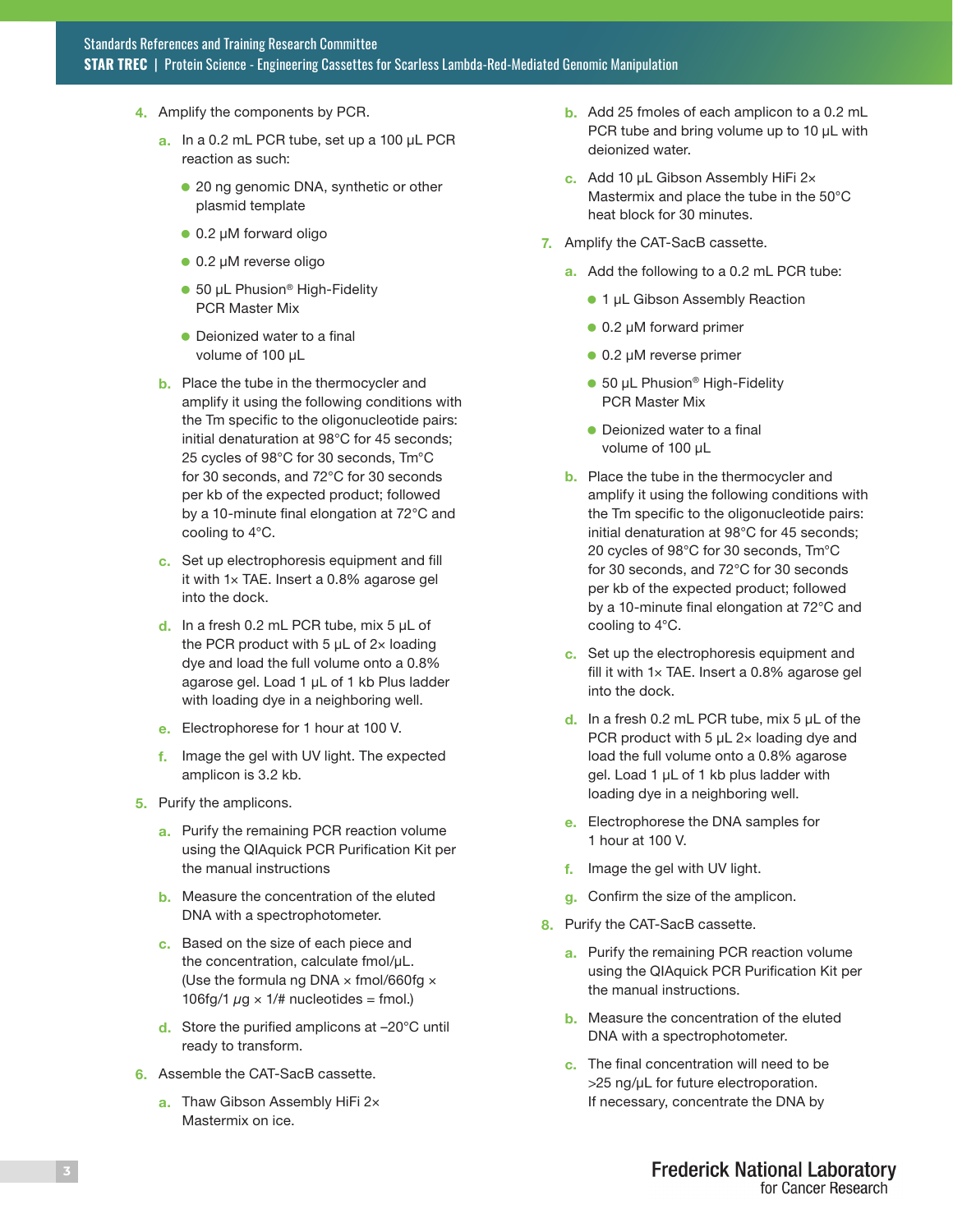- 4. Amplify the components by PCR.
	- a. In a 0.2 mL PCR tube, set up a 100 µL PCR reaction as such:
		- **.** 20 ng genomic DNA, synthetic or other plasmid template
		- $\bullet$  0.2 µM forward oligo
		- $\bullet$  0.2 µM reverse oligo
		- 50 µL Phusion<sup>®</sup> High-Fidelity PCR Master Mix
		- $\bullet$  Deionized water to a final volume of 100 µL
	- **b.** Place the tube in the thermocycler and amplify it using the following conditions with the Tm specific to the oligonucleotide pairs: initial denaturation at 98°C for 45 seconds; 25 cycles of 98°C for 30 seconds, Tm°C for 30 seconds, and 72°C for 30 seconds per kb of the expected product; followed by a 10-minute final elongation at 72°C and cooling to 4°C.
	- c. Set up electrophoresis equipment and fill it with 1× TAE. Insert a 0.8% agarose gel into the dock.
	- $d.$  In a fresh 0.2 mL PCR tube, mix 5  $\mu$ L of the PCR product with 5  $\mu$ L of 2× loading dye and load the full volume onto a 0.8% agarose gel. Load 1 µL of 1 kb Plus ladder with loading dye in a neighboring well.
	- e. Electrophorese for 1 hour at 100 V.
	- f. Image the gel with UV light. The expected amplicon is 3.2 kb.
- 5. Purify the amplicons.
	- a. Purify the remaining PCR reaction volume using the QIAquick PCR Purification Kit per the manual instructions
	- **b.** Measure the concentration of the eluted DNA with a spectrophotometer.
	- c. Based on the size of each piece and the concentration, calculate fmol/µL. (Use the formula ng DNA  $\times$  fmol/660fg  $\times$ 106fg/1  $\mu$ g × 1/# nucleotides = fmol.)
	- d. Store the purified amplicons at –20°C until ready to transform.
- 6. Assemble the CAT-SacB cassette.
	- a. Thaw Gibson Assembly HiFi 2x Mastermix on ice.
- b. Add 25 fmoles of each amplicon to a 0.2 mL PCR tube and bring volume up to 10 µL with deionized water.
- c. Add 10 µL Gibson Assembly HiFi 2x Mastermix and place the tube in the 50°C heat block for 30 minutes.
- 7. Amplify the CAT-SacB cassette.
	- a. Add the following to a 0.2 mL PCR tube:
		- 1 µL Gibson Assembly Reaction
		- $\bullet$  0.2 µM forward primer
		- $\bullet$  0.2 µM reverse primer
		- 50 µL Phusion<sup>®</sup> High-Fidelity PCR Master Mix
		- $\bullet$  Deionized water to a final volume of 100 µL
	- b. Place the tube in the thermocycler and amplify it using the following conditions with the Tm specific to the oligonucleotide pairs: initial denaturation at 98°C for 45 seconds; 20 cycles of 98°C for 30 seconds, Tm°C for 30 seconds, and 72°C for 30 seconds per kb of the expected product; followed by a 10-minute final elongation at 72°C and cooling to 4°C.
	- c. Set up the electrophoresis equipment and fill it with  $1\times$  TAE. Insert a 0.8% agarose gel into the dock.
	- d. In a fresh 0.2 mL PCR tube, mix  $5 \mu L$  of the PCR product with 5  $\mu$ L 2 $\times$  loading dye and load the full volume onto a 0.8% agarose gel. Load 1 µL of 1 kb plus ladder with loading dye in a neighboring well.
	- e. Electrophorese the DNA samples for 1 hour at 100 V.
	- f. Image the gel with UV light.
	- g. Confirm the size of the amplicon.
- 8. Purify the CAT-SacB cassette.
	- a. Purify the remaining PCR reaction volume using the QIAquick PCR Purification Kit per the manual instructions.
	- b. Measure the concentration of the eluted DNA with a spectrophotometer.
	- c. The final concentration will need to be >25 ng/µL for future electroporation. If necessary, concentrate the DNA by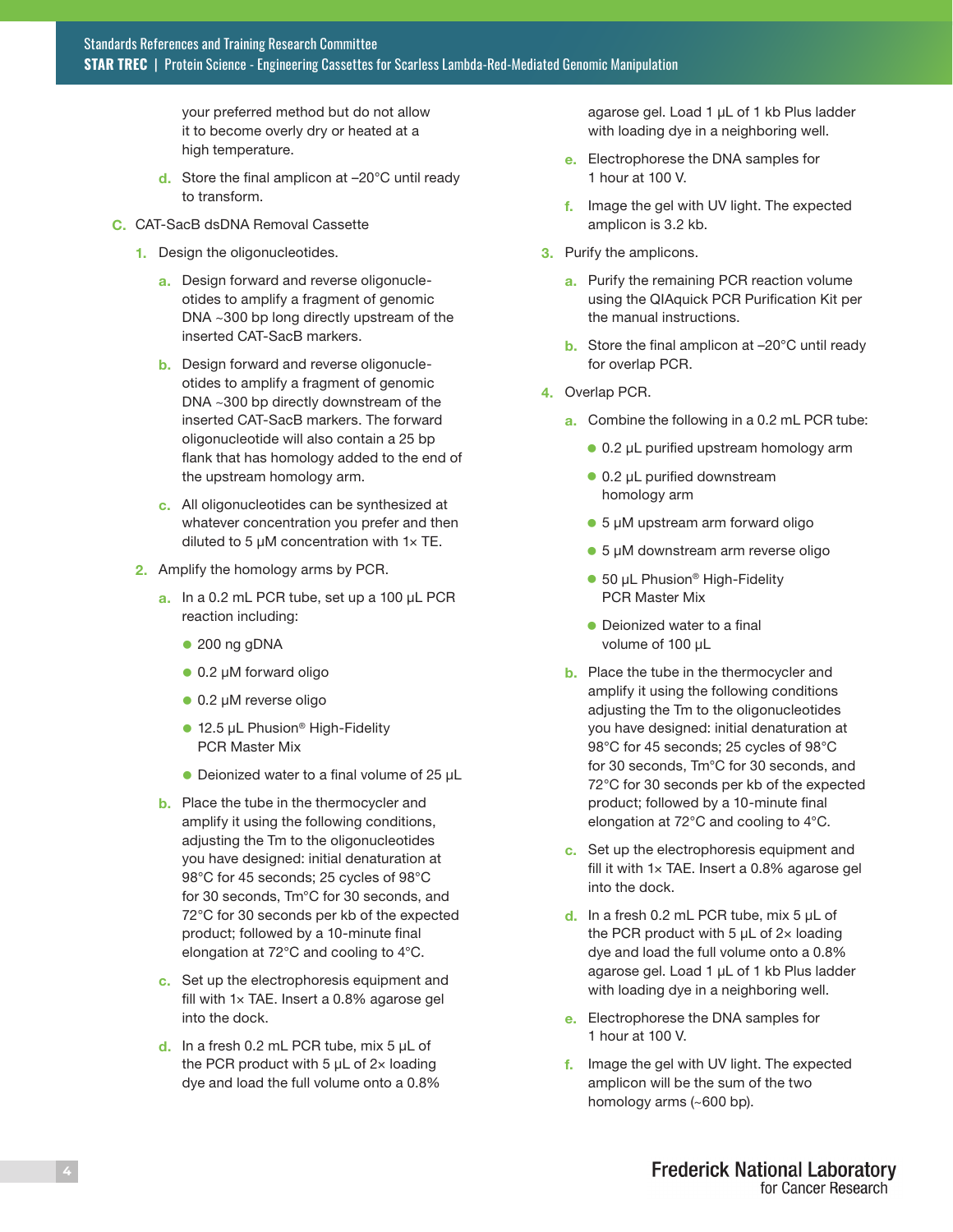your preferred method but do not allow it to become overly dry or heated at a high temperature.

- d. Store the final amplicon at -20°C until ready to transform.
- C. CAT-SacB dsDNA Removal Cassette
	- 1. Design the oligonucleotides.
		- a. Design forward and reverse oligonucleotides to amplify a fragment of genomic DNA ~300 bp long directly upstream of the inserted CAT-SacB markers.
		- **b.** Design forward and reverse oligonucleotides to amplify a fragment of genomic DNA ~300 bp directly downstream of the inserted CAT-SacB markers. The forward oligonucleotide will also contain a 25 bp flank that has homology added to the end of the upstream homology arm.
		- c. All oligonucleotides can be synthesized at whatever concentration you prefer and then diluted to 5  $\mu$ M concentration with 1 $\times$  TE.
	- 2. Amplify the homology arms by PCR.
		- a. In a 0.2 mL PCR tube, set up a 100 µL PCR reaction including:
			- $\bullet$  200 ng gDNA
			- 0.2 µM forward oligo
			- 0.2 µM reverse oligo
			- 12.5 µL Phusion<sup>®</sup> High-Fidelity PCR Master Mix
			- $\bullet$  Deionized water to a final volume of 25  $\mu$ L
		- **b.** Place the tube in the thermocycler and amplify it using the following conditions, adjusting the Tm to the oligonucleotides you have designed: initial denaturation at 98°C for 45 seconds; 25 cycles of 98°C for 30 seconds, Tm°C for 30 seconds, and 72°C for 30 seconds per kb of the expected product; followed by a 10-minute final elongation at 72°C and cooling to 4°C.
		- c. Set up the electrophoresis equipment and fill with 1× TAE. Insert a 0.8% agarose gel into the dock.
		- d. In a fresh 0.2 mL PCR tube, mix  $5 \mu L$  of the PCR product with 5  $\mu$ L of 2× loading dye and load the full volume onto a 0.8%

agarose gel. Load 1 µL of 1 kb Plus ladder with loading dye in a neighboring well.

- e. Electrophorese the DNA samples for 1 hour at 100 V.
- f. Image the gel with UV light. The expected amplicon is 3.2 kb.
- 3. Purify the amplicons.
	- a. Purify the remaining PCR reaction volume using the QIAquick PCR Purification Kit per the manual instructions.
	- b. Store the final amplicon at –20°C until ready for overlap PCR.
- 4. Overlap PCR.
	- a. Combine the following in a 0.2 mL PCR tube:
		- 0.2 µL purified upstream homology arm
		- 0.2 µL purified downstream homology arm
		- 5 µM upstream arm forward oligo
		- 5 µM downstream arm reverse oligo
		- $\bullet$  50 µL Phusion<sup>®</sup> High-Fidelity PCR Master Mix
		- $\bullet$  Deionized water to a final volume of 100 µL
	- **b.** Place the tube in the thermocycler and amplify it using the following conditions adjusting the Tm to the oligonucleotides you have designed: initial denaturation at 98°C for 45 seconds; 25 cycles of 98°C for 30 seconds, Tm°C for 30 seconds, and 72°C for 30 seconds per kb of the expected product; followed by a 10-minute final elongation at 72°C and cooling to 4°C.
	- c. Set up the electrophoresis equipment and fill it with 1× TAE. Insert a 0.8% agarose gel into the dock.
	- d. In a fresh 0.2 mL PCR tube, mix  $5 \mu L$  of the PCR product with 5  $\mu$ L of 2× loading dye and load the full volume onto a 0.8% agarose gel. Load 1 µL of 1 kb Plus ladder with loading dye in a neighboring well.
	- e. Electrophorese the DNA samples for 1 hour at 100 V.
	- f. Image the gel with UV light. The expected amplicon will be the sum of the two homology arms (~600 bp).